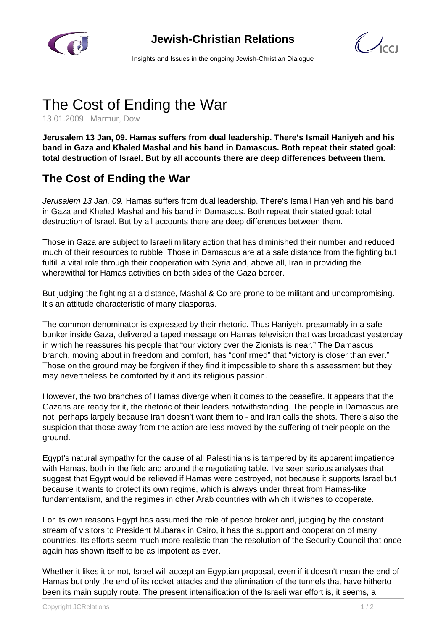

## **Jewish-Christian Relations**



Insights and Issues in the ongoing Jewish-Christian Dialogue

## The Cost of Ending the War

13.01.2009 | Marmur, Dow

**Jerusalem 13 Jan, 09. Hamas suffers from dual leadership. There's Ismail Haniyeh and his band in Gaza and Khaled Mashal and his band in Damascus. Both repeat their stated goal: total destruction of Israel. But by all accounts there are deep differences between them.**

## **The Cost of Ending the War**

Jerusalem 13 Jan, 09. Hamas suffers from dual leadership. There's Ismail Haniveh and his band in Gaza and Khaled Mashal and his band in Damascus. Both repeat their stated goal: total destruction of Israel. But by all accounts there are deep differences between them.

Those in Gaza are subject to Israeli military action that has diminished their number and reduced much of their resources to rubble. Those in Damascus are at a safe distance from the fighting but fulfill a vital role through their cooperation with Syria and, above all, Iran in providing the wherewithal for Hamas activities on both sides of the Gaza border.

But judging the fighting at a distance, Mashal & Co are prone to be militant and uncompromising. It's an attitude characteristic of many diasporas.

The common denominator is expressed by their rhetoric. Thus Haniyeh, presumably in a safe bunker inside Gaza, delivered a taped message on Hamas television that was broadcast yesterday in which he reassures his people that "our victory over the Zionists is near." The Damascus branch, moving about in freedom and comfort, has "confirmed" that "victory is closer than ever." Those on the ground may be forgiven if they find it impossible to share this assessment but they may nevertheless be comforted by it and its religious passion.

However, the two branches of Hamas diverge when it comes to the ceasefire. It appears that the Gazans are ready for it, the rhetoric of their leaders notwithstanding. The people in Damascus are not, perhaps largely because Iran doesn't want them to - and Iran calls the shots. There's also the suspicion that those away from the action are less moved by the suffering of their people on the ground.

Egypt's natural sympathy for the cause of all Palestinians is tampered by its apparent impatience with Hamas, both in the field and around the negotiating table. I've seen serious analyses that suggest that Egypt would be relieved if Hamas were destroyed, not because it supports Israel but because it wants to protect its own regime, which is always under threat from Hamas-like fundamentalism, and the regimes in other Arab countries with which it wishes to cooperate.

For its own reasons Egypt has assumed the role of peace broker and, judging by the constant stream of visitors to President Mubarak in Cairo, it has the support and cooperation of many countries. Its efforts seem much more realistic than the resolution of the Security Council that once again has shown itself to be as impotent as ever.

Whether it likes it or not, Israel will accept an Egyptian proposal, even if it doesn't mean the end of Hamas but only the end of its rocket attacks and the elimination of the tunnels that have hitherto been its main supply route. The present intensification of the Israeli war effort is, it seems, a